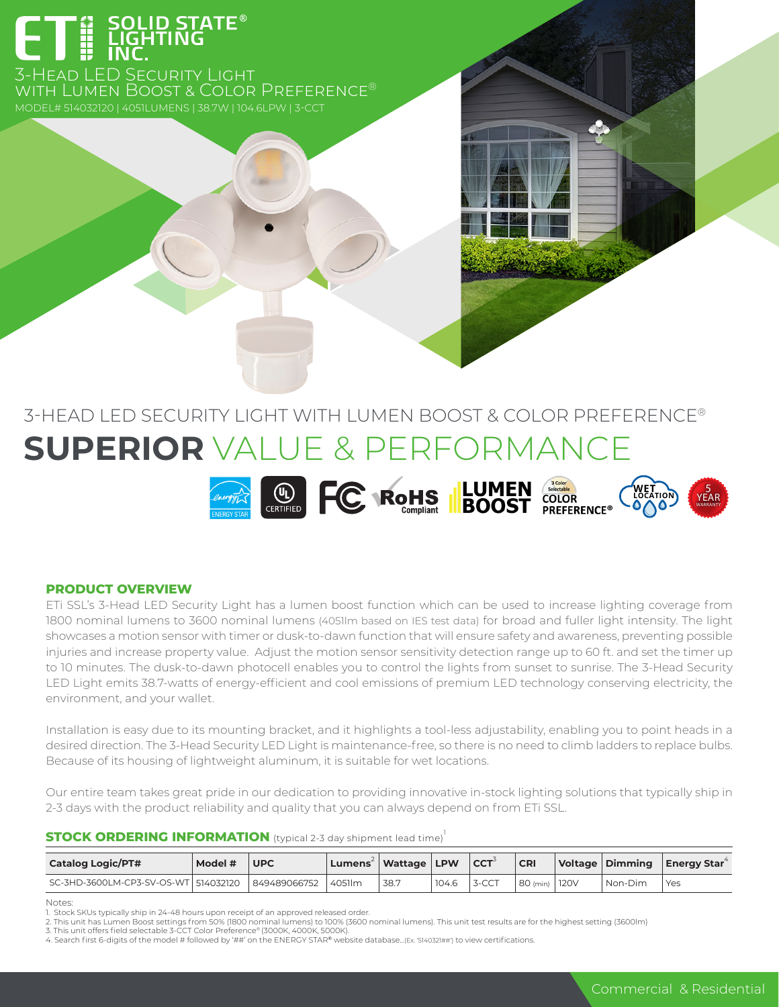

3-Head LED Security Light with Lumen Boost & Color Preference®

# 3-HEAD LED SECURITY LIGHT WITH LUMEN BOOST & COLOR PREFERENCE® **SUPERIOR** VALUE & PERFORMANCE



# **PRODUCT OVERVIEW**

ETi SSL's 3-Head LED Security Light has a lumen boost function which can be used to increase lighting coverage from 1800 nominal lumens to 3600 nominal lumens (4051lm based on IES test data) for broad and fuller light intensity. The light showcases a motion sensor with timer or dusk-to-dawn function that will ensure safety and awareness, preventing possible injuries and increase property value. Adjust the motion sensor sensitivity detection range up to 60 ft. and set the timer up to 10 minutes. The dusk-to-dawn photocell enables you to control the lights from sunset to sunrise. The 3-Head Security LED Light emits 38.7-watts of energy-efficient and cool emissions of premium LED technology conserving electricity, the environment, and your wallet.

Installation is easy due to its mounting bracket, and it highlights a tool-less adjustability, enabling you to point heads in a desired direction. The 3-Head Security LED Light is maintenance-free, so there is no need to climb ladders to replace bulbs. Because of its housing of lightweight aluminum, it is suitable for wet locations.

Our entire team takes great pride in our dedication to providing innovative in-stock lighting solutions that typically ship in 2-3 days with the product reliability and quality that you can always depend on from ETi SSL.

## **STOCK ORDERING INFORMATION** (typical 2-3 day shipment lead time)<sup>1</sup>

| <b>Catalog Logic/PT#</b>             | Model # | <b>UPC</b>   | Lumens <sup>2</sup>   Wattage   LPW |      |       | $\overline{\phantom{a}}$ CCT <sup>3</sup> | <b>CRI</b>      |         | Voltage Dimming Energy Star <sup>4</sup> |
|--------------------------------------|---------|--------------|-------------------------------------|------|-------|-------------------------------------------|-----------------|---------|------------------------------------------|
| SC-3HD-3600LM-CP3-SV-OS-WT 514032120 |         | 849489066752 | 14051 m                             | 38.7 | 104.6 | 3-CCT                                     | 80 (min)   120V | Non-Dim | Yes                                      |

Notes:

Stock SKUs typically ship in 24-48 hours upon receipt of an approved released order

<sup>2.</sup> This unit has Lumen Boost settings from 50% (1800 nominal lumens) to 100% (3600 nominal lumens). This unit test results are for the highest setting (3600lm)<br>3. This unit offers field selectable 3-CCT Color Preference® (

<sup>4.</sup> Search first 6-digits of the model # followed by '##' on the ENERGY STAR® website database...(Ex. '5140321##') to view certifications.